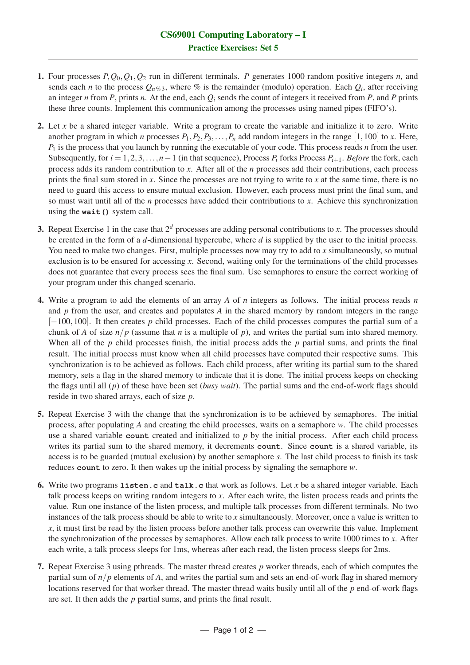- 1. Four processes  $P$ ,  $Q_0$ ,  $Q_1$ ,  $Q_2$  run in different terminals. *P* generates 1000 random positive integers *n*, and sends each *n* to the process  $Q_n \gamma_{\delta,3}$ , where  $\%$  is the remainder (modulo) operation. Each  $Q_i$ , after receiving an integer *n* from *P*, prints *n*. At the end, each  $Q_i$  sends the count of integers it received from *P*, and *P* prints these three counts. Implement this communication among the processes using named pipes (FIFO's).
- 2. Let *x* be a shared integer variable. Write a program to create the variable and initialize it to zero. Write another program in which *n* processes  $P_1, P_2, P_3, \ldots, P_n$  add random integers in the range [1,100] to *x*. Here, *P*<sup>1</sup> is the process that you launch by running the executable of your code. This process reads *n* from the user. Subsequently, for  $i = 1, 2, 3, ..., n-1$  (in that sequence), Process  $P_i$  forks Process  $P_{i+1}$ . *Before* the fork, each process adds its random contribution to *x*. After all of the *n* processes add their contributions, each process prints the final sum stored in *x*. Since the processes are not trying to write to *x* at the same time, there is no need to guard this access to ensure mutual exclusion. However, each process must print the final sum, and so must wait until all of the *n* processes have added their contributions to *x*. Achieve this synchronization using the **wait()** system call.
- 3. Repeat Exercise 1 in the case that  $2<sup>d</sup>$  processes are adding personal contributions to *x*. The processes should be created in the form of a *d*-dimensional hypercube, where *d* is supplied by the user to the initial process. You need to make two changes. First, multiple processes now may try to add to *x* simultaneously, so mutual exclusion is to be ensured for accessing *x*. Second, waiting only for the terminations of the child processes does not guarantee that every process sees the final sum. Use semaphores to ensure the correct working of your program under this changed scenario.
- 4. Write a program to add the elements of an array *A* of *n* integers as follows. The initial process reads *n* and *p* from the user, and creates and populates *A* in the shared memory by random integers in the range [−100,100]. It then creates *p* child processes. Each of the child processes computes the partial sum of a chunk of *A* of size  $n/p$  (assume that *n* is a multiple of *p*), and writes the partial sum into shared memory. When all of the *p* child processes finish, the initial process adds the *p* partial sums, and prints the final result. The initial process must know when all child processes have computed their respective sums. This synchronization is to be achieved as follows. Each child process, after writing its partial sum to the shared memory, sets a flag in the shared memory to indicate that it is done. The initial process keeps on checking the flags until all (*p*) of these have been set (*busy wait*). The partial sums and the end-of-work flags should reside in two shared arrays, each of size *p*.
- 5. Repeat Exercise 3 with the change that the synchronization is to be achieved by semaphores. The initial process, after populating *A* and creating the child processes, waits on a semaphore *w*. The child processes use a shared variable **count** created and initialized to *p* by the initial process. After each child process writes its partial sum to the shared memory, it decrements **count**. Since **count** is a shared variable, its access is to be guarded (mutual exclusion) by another semaphore *s*. The last child process to finish its task reduces **count** to zero. It then wakes up the initial process by signaling the semaphore *w*.
- 6. Write two programs **listen.c** and **talk.c** that work as follows. Let *x* be a shared integer variable. Each talk process keeps on writing random integers to *x*. After each write, the listen process reads and prints the value. Run one instance of the listen process, and multiple talk processes from different terminals. No two instances of the talk process should be able to write to *x* simultaneously. Moreover, once a value is written to *x*, it must first be read by the listen process before another talk process can overwrite this value. Implement the synchronization of the processes by semaphores. Allow each talk process to write 1000 times to *x*. After each write, a talk process sleeps for 1ms, whereas after each read, the listen process sleeps for 2ms.
- 7. Repeat Exercise 3 using pthreads. The master thread creates *p* worker threads, each of which computes the partial sum of *n*/*p* elements of *A*, and writes the partial sum and sets an end-of-work flag in shared memory locations reserved for that worker thread. The master thread waits busily until all of the *p* end-of-work flags are set. It then adds the *p* partial sums, and prints the final result.